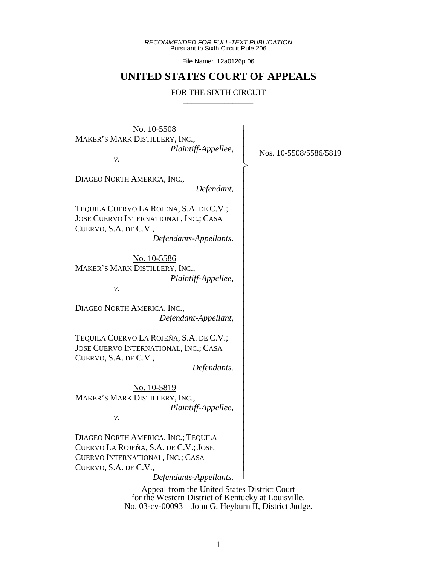*RECOMMENDED FOR FULL-TEXT PUBLICATION* Pursuant to Sixth Circuit Rule 206

File Name: 12a0126p.06

# **UNITED STATES COURT OF APPEALS**

#### FOR THE SIXTH CIRCUIT

 $\overline{\phantom{a}}$ - - - > , - - - - - - - - - - - - - - - - - - - - - - - - - - - - - - - - - - - - - N

No. 10-5508 MAKER'S MARK DISTILLERY, INC.,  *Plaintiff-Appellee, v.*

DIAGEO NORTH AMERICA, INC.,

*Defendant,*

TEQUILA CUERVO LA ROJEÑA, S.A. DE C.V.; JOSE CUERVO INTERNATIONAL, INC.; CASA CUERVO, S.A. DE C.V.,

 *Defendants-Appellants.*

No. 10-5586 MAKER'S MARK DISTILLERY, INC.,  *Plaintiff-Appellee, v.*

DIAGEO NORTH AMERICA, INC., *Defendant-Appellant,*

TEQUILA CUERVO LA ROJEÑA, S.A. DE C.V.; JOSE CUERVO INTERNATIONAL, INC.; CASA CUERVO, S.A. DE C.V.,

 *Defendants.*

No. 10-5819 MAKER'S MARK DISTILLERY, INC.,  *Plaintiff-Appellee,*

*v.*

DIAGEO NORTH AMERICA, INC.; TEQUILA CUERVO LA ROJEÑA, S.A. DE C.V.; JOSE CUERVO INTERNATIONAL, INC.; CASA CUERVO, S.A. DE C.V.,

 *Defendants-Appellants.*

Appeal from the United States District Court for the Western District of Kentucky at Louisville. No. 03-cv-00093—John G. Heyburn II, District Judge.

Nos. 10-5508/5586/5819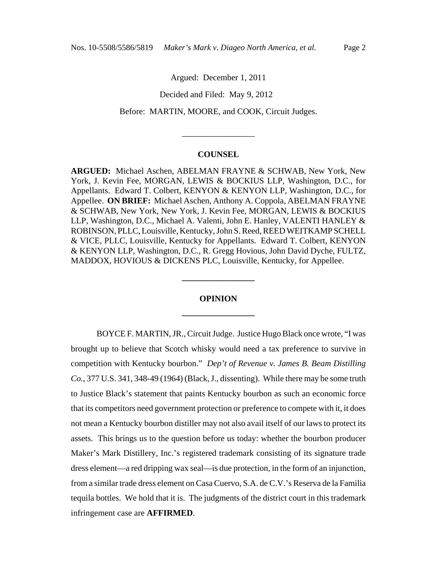Argued: December 1, 2011

Decided and Filed: May 9, 2012

Before: MARTIN, MOORE, and COOK, Circuit Judges.

\_\_\_\_\_\_\_\_\_\_\_\_\_\_\_\_\_

## **COUNSEL**

**ARGUED:** Michael Aschen, ABELMAN FRAYNE & SCHWAB, New York, New York, J. Kevin Fee, MORGAN, LEWIS & BOCKIUS LLP, Washington, D.C., for Appellants. Edward T. Colbert, KENYON & KENYON LLP, Washington, D.C., for Appellee. **ON BRIEF:** Michael Aschen, Anthony A. Coppola, ABELMAN FRAYNE & SCHWAB, New York, New York, J. Kevin Fee, MORGAN, LEWIS & BOCKIUS LLP, Washington, D.C., Michael A. Valenti, John E. Hanley, VALENTI HANLEY & ROBINSON, PLLC, Louisville, Kentucky, John S. Reed, REED WEITKAMP SCHELL & VICE, PLLC, Louisville, Kentucky for Appellants. Edward T. Colbert, KENYON & KENYON LLP, Washington, D.C., R. Gregg Hovious, John David Dyche, FULTZ, MADDOX, HOVIOUS & DICKENS PLC, Louisville, Kentucky, for Appellee.

# **OPINION \_\_\_\_\_\_\_\_\_\_\_\_\_\_\_\_\_**

**\_\_\_\_\_\_\_\_\_\_\_\_\_\_\_\_\_**

BOYCE F. MARTIN, JR., Circuit Judge. Justice Hugo Black once wrote, "I was brought up to believe that Scotch whisky would need a tax preference to survive in competition with Kentucky bourbon." *Dep't of Revenue v. James B. Beam Distilling Co.*, 377 U.S. 341, 348-49 (1964) (Black, J., dissenting). While there may be some truth to Justice Black's statement that paints Kentucky bourbon as such an economic force that its competitors need government protection or preference to compete with it, it does not mean a Kentucky bourbon distiller may not also avail itself of our laws to protect its assets. This brings us to the question before us today: whether the bourbon producer Maker's Mark Distillery, Inc.'s registered trademark consisting of its signature trade dress element—a red dripping wax seal—is due protection, in the form of an injunction, from a similar trade dress element on Casa Cuervo, S.A. de C.V.'s Reserva de la Familia tequila bottles. We hold that it is. The judgments of the district court in this trademark infringement case are **AFFIRMED**.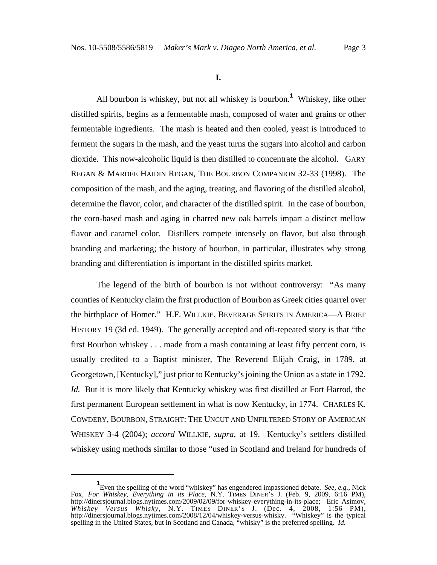#### **I.**

All bourbon is whiskey, but not all whiskey is bourbon.**<sup>1</sup>** Whiskey, like other distilled spirits, begins as a fermentable mash, composed of water and grains or other fermentable ingredients. The mash is heated and then cooled, yeast is introduced to ferment the sugars in the mash, and the yeast turns the sugars into alcohol and carbon dioxide. This now-alcoholic liquid is then distilled to concentrate the alcohol. GARY REGAN & MARDEE HAIDIN REGAN, THE BOURBON COMPANION 32-33 (1998). The composition of the mash, and the aging, treating, and flavoring of the distilled alcohol, determine the flavor, color, and character of the distilled spirit. In the case of bourbon, the corn-based mash and aging in charred new oak barrels impart a distinct mellow flavor and caramel color. Distillers compete intensely on flavor, but also through branding and marketing; the history of bourbon, in particular, illustrates why strong branding and differentiation is important in the distilled spirits market.

The legend of the birth of bourbon is not without controversy: "As many counties of Kentucky claim the first production of Bourbon as Greek cities quarrel over the birthplace of Homer." H.F. WILLKIE, BEVERAGE SPIRITS IN AMERICA—A BRIEF HISTORY 19 (3d ed. 1949). The generally accepted and oft-repeated story is that "the first Bourbon whiskey . . . made from a mash containing at least fifty percent corn, is usually credited to a Baptist minister, The Reverend Elijah Craig, in 1789, at Georgetown, [Kentucky]," just prior to Kentucky's joining the Union as a state in 1792. *Id.* But it is more likely that Kentucky whiskey was first distilled at Fort Harrod, the first permanent European settlement in what is now Kentucky, in 1774. CHARLES K. COWDERY, BOURBON, STRAIGHT: THE UNCUT AND UNFILTERED STORY OF AMERICAN WHISKEY 3-4 (2004); *accord* WILLKIE, *supra*, at 19.Kentucky's settlers distilled whiskey using methods similar to those "used in Scotland and Ireland for hundreds of

**<sup>1</sup>** Even the spelling of the word "whiskey" has engendered impassioned debate. *See, e.g.*, Nick Fox, *For Whiskey, Everything in its Place*, N.Y. TIMES DINER'S J. (Feb. 9, 2009, 6:16 PM), http://dinersjournal.blogs.nytimes.com/2009/02/09/for-whiskey-everything-in-its-place; Eric Asimov, *Whiskey Versus Whisky*, N.Y. TIMES DINER'S J. (Dec. 4, 2008, 1:56 PM), http://dinersjournal.blogs.nytimes.com/2008/12/04/whiskey-versus-whisky. "Whiskey" is the typical spelling in the United States, but in Scotland and Canada, "whisky" is the preferred spelling. *Id.*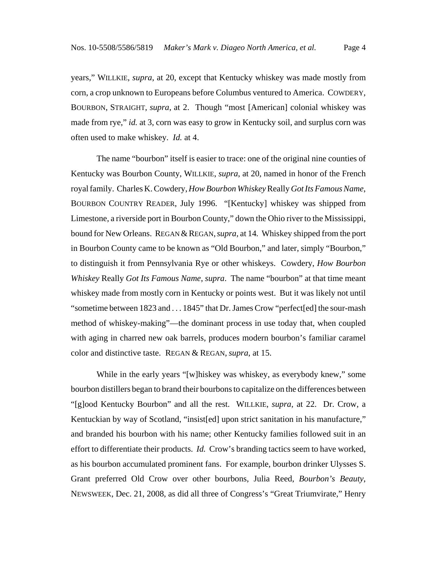years," WILLKIE, *supra*, at 20, except that Kentucky whiskey was made mostly from corn, a crop unknown to Europeans before Columbus ventured to America. COWDERY, BOURBON, STRAIGHT, *supra*, at 2. Though "most [American] colonial whiskey was made from rye," *id.* at 3, corn was easy to grow in Kentucky soil, and surplus corn was often used to make whiskey. *Id.* at 4.

The name "bourbon" itself is easier to trace: one of the original nine counties of Kentucky was Bourbon County, WILLKIE, *supra*, at 20, named in honor of the French royal family. Charles K. Cowdery, *How Bourbon Whiskey* Really *Got Its Famous Name*, BOURBON COUNTRY READER, July 1996. "[Kentucky] whiskey was shipped from Limestone, a riverside port in Bourbon County," down the Ohio river to the Mississippi, bound for New Orleans. REGAN & REGAN, *supra*, at 14. Whiskey shipped from the port in Bourbon County came to be known as "Old Bourbon," and later, simply "Bourbon," to distinguish it from Pennsylvania Rye or other whiskeys. Cowdery, *How Bourbon Whiskey* Really *Got Its Famous Name*, *supra*. The name "bourbon" at that time meant whiskey made from mostly corn in Kentucky or points west. But it was likely not until "sometime between 1823 and . . . 1845" that Dr. James Crow "perfect[ed] the sour-mash method of whiskey-making"—the dominant process in use today that, when coupled with aging in charred new oak barrels, produces modern bourbon's familiar caramel color and distinctive taste. REGAN & REGAN, *supra*, at 15.

While in the early years "[w]hiskey was whiskey, as everybody knew," some bourbon distillers began to brand their bourbons to capitalize on the differences between "[g]ood Kentucky Bourbon" and all the rest. WILLKIE, *supra*, at 22. Dr. Crow, a Kentuckian by way of Scotland, "insisted] upon strict sanitation in his manufacture," and branded his bourbon with his name; other Kentucky families followed suit in an effort to differentiate their products. *Id.* Crow's branding tactics seem to have worked, as his bourbon accumulated prominent fans. For example, bourbon drinker Ulysses S. Grant preferred Old Crow over other bourbons, Julia Reed, *Bourbon's Beauty*, NEWSWEEK, Dec. 21, 2008, as did all three of Congress's "Great Triumvirate," Henry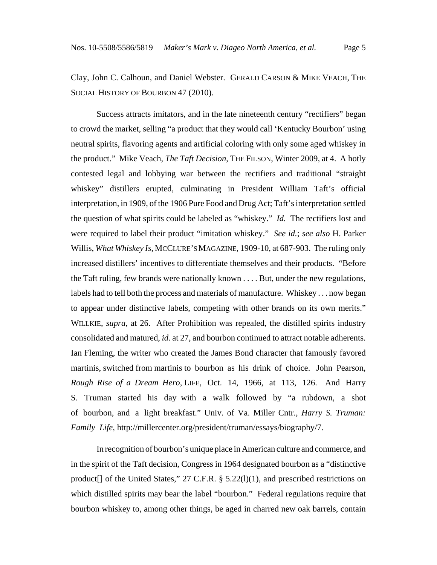Clay, John C. Calhoun, and Daniel Webster. GERALD CARSON & MIKE VEACH, THE SOCIAL HISTORY OF BOURBON 47 (2010).

Success attracts imitators, and in the late nineteenth century "rectifiers" began to crowd the market, selling "a product that they would call 'Kentucky Bourbon' using neutral spirits, flavoring agents and artificial coloring with only some aged whiskey in the product." Mike Veach, *The Taft Decision*, THE FILSON, Winter 2009, at 4. A hotly contested legal and lobbying war between the rectifiers and traditional "straight whiskey" distillers erupted, culminating in President William Taft's official interpretation, in 1909, of the 1906 Pure Food and Drug Act; Taft's interpretation settled the question of what spirits could be labeled as "whiskey." *Id.* The rectifiers lost and were required to label their product "imitation whiskey." *See id.*; *see also* H. Parker Willis, *What Whiskey Is*, MCCLURE'S MAGAZINE, 1909-10, at 687-903. The ruling only increased distillers' incentives to differentiate themselves and their products. "Before the Taft ruling, few brands were nationally known . . . . But, under the new regulations, labels had to tell both the process and materials of manufacture. Whiskey . . . now began to appear under distinctive labels, competing with other brands on its own merits." WILLKIE, *supra*, at 26. After Prohibition was repealed, the distilled spirits industry consolidated and matured, *id.* at 27, and bourbon continued to attract notable adherents. Ian Fleming, the writer who created the James Bond character that famously favored martinis, switched from martinis to bourbon as his drink of choice. John Pearson, *Rough Rise of a Dream Hero*, LIFE, Oct. 14, 1966, at 113, 126. And Harry S. Truman started his day with a walk followed by "a rubdown, a shot of bourbon, and a light breakfast." Univ. of Va. Miller Cntr., *Harry S. Truman: Family Life*, http://millercenter.org/president/truman/essays/biography/7.

In recognition of bourbon's unique place in American culture and commerce, and in the spirit of the Taft decision, Congress in 1964 designated bourbon as a "distinctive product[] of the United States," 27 C.F.R. § 5.22(l)(1), and prescribed restrictions on which distilled spirits may bear the label "bourbon." Federal regulations require that bourbon whiskey to, among other things, be aged in charred new oak barrels, contain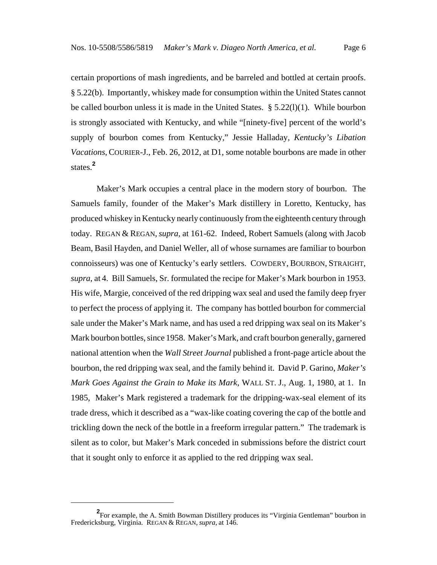certain proportions of mash ingredients, and be barreled and bottled at certain proofs. § 5.22(b). Importantly, whiskey made for consumption within the United States cannot be called bourbon unless it is made in the United States. § 5.22(l)(1)*.* While bourbon is strongly associated with Kentucky, and while "[ninety-five] percent of the world's supply of bourbon comes from Kentucky," Jessie Halladay*, Kentucky's Libation Vacations*, COURIER-J., Feb. 26, 2012, at D1, some notable bourbons are made in other states.**<sup>2</sup>**

Maker's Mark occupies a central place in the modern story of bourbon. The Samuels family, founder of the Maker's Mark distillery in Loretto, Kentucky, has produced whiskey in Kentucky nearly continuously from the eighteenth century through today. REGAN & REGAN,*supra*, at 161-62. Indeed, Robert Samuels (along with Jacob Beam, Basil Hayden, and Daniel Weller, all of whose surnames are familiar to bourbon connoisseurs) was one of Kentucky's early settlers. COWDERY, BOURBON, STRAIGHT, *supra*, at 4. Bill Samuels, Sr. formulated the recipe for Maker's Mark bourbon in 1953. His wife, Margie, conceived of the red dripping wax seal and used the family deep fryer to perfect the process of applying it. The company has bottled bourbon for commercial sale under the Maker's Mark name, and has used a red dripping wax seal on its Maker's Mark bourbon bottles, since 1958. Maker's Mark, and craft bourbon generally, garnered national attention when the *Wall Street Journal* published a front-page article about the bourbon, the red dripping wax seal, and the family behind it. David P. Garino, *Maker's Mark Goes Against the Grain to Make its Mark*, WALL ST. J., Aug. 1, 1980, at 1. In 1985, Maker's Mark registered a trademark for the dripping-wax-seal element of its trade dress, which it described as a "wax-like coating covering the cap of the bottle and trickling down the neck of the bottle in a freeform irregular pattern." The trademark is silent as to color, but Maker's Mark conceded in submissions before the district court that it sought only to enforce it as applied to the red dripping wax seal.

**<sup>2</sup>** For example, the A. Smith Bowman Distillery produces its "Virginia Gentleman" bourbon in Fredericksburg, Virginia. REGAN & REGAN, *supra*, at 146.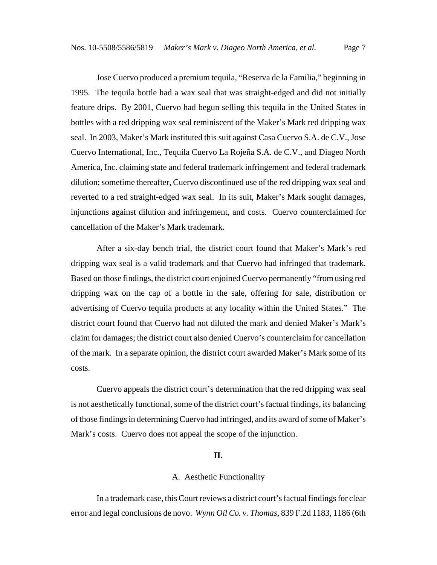Jose Cuervo produced a premium tequila, "Reserva de la Familia," beginning in 1995. The tequila bottle had a wax seal that was straight-edged and did not initially feature drips. By 2001, Cuervo had begun selling this tequila in the United States in bottles with a red dripping wax seal reminiscent of the Maker's Mark red dripping wax seal. In 2003, Maker's Mark instituted this suit against Casa Cuervo S.A. de C.V., Jose Cuervo International, Inc., Tequila Cuervo La Rojeña S.A. de C.V., and Diageo North America, Inc. claiming state and federal trademark infringement and federal trademark dilution; sometime thereafter, Cuervo discontinued use of the red dripping wax seal and reverted to a red straight-edged wax seal. In its suit, Maker's Mark sought damages, injunctions against dilution and infringement, and costs. Cuervo counterclaimed for cancellation of the Maker's Mark trademark.

After a six-day bench trial, the district court found that Maker's Mark's red dripping wax seal is a valid trademark and that Cuervo had infringed that trademark. Based on those findings, the district court enjoined Cuervo permanently "from using red dripping wax on the cap of a bottle in the sale, offering for sale, distribution or advertising of Cuervo tequila products at any locality within the United States." The district court found that Cuervo had not diluted the mark and denied Maker's Mark's claim for damages; the district court also denied Cuervo's counterclaim for cancellation of the mark. In a separate opinion, the district court awarded Maker's Mark some of its costs.

Cuervo appeals the district court's determination that the red dripping wax seal is not aesthetically functional, some of the district court's factual findings, its balancing of those findings in determining Cuervo had infringed, and its award of some of Maker's Mark's costs. Cuervo does not appeal the scope of the injunction.

## **II.**

#### A. Aesthetic Functionality

In a trademark case, this Court reviews a district court's factual findings for clear error and legal conclusions de novo. *Wynn Oil Co. v. Thomas*, 839 F.2d 1183, 1186 (6th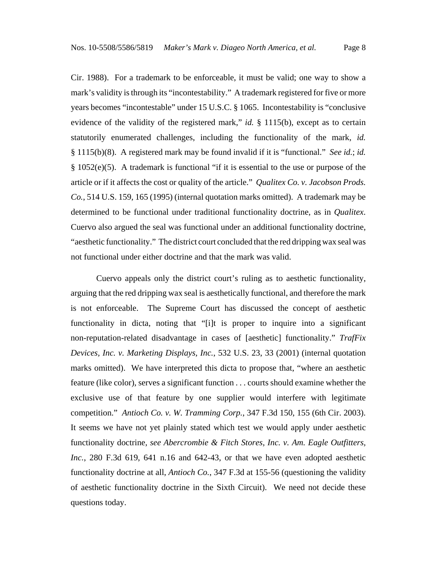Cir. 1988). For a trademark to be enforceable, it must be valid; one way to show a mark's validity is through its "incontestability." A trademark registered for five or more years becomes "incontestable" under 15 U.S.C. § 1065. Incontestability is "conclusive evidence of the validity of the registered mark," *id.* § 1115(b), except as to certain statutorily enumerated challenges, including the functionality of the mark, *id.* § 1115(b)(8). A registered mark may be found invalid if it is "functional." *See id.*; *id.*  $§ 1052(e)(5)$ . A trademark is functional "if it is essential to the use or purpose of the article or if it affects the cost or quality of the article." *Qualitex Co. v. Jacobson Prods. Co.*, 514 U.S. 159, 165 (1995) (internal quotation marks omitted). A trademark may be determined to be functional under traditional functionality doctrine, as in *Qualitex*. Cuervo also argued the seal was functional under an additional functionality doctrine, "aesthetic functionality." The district court concluded that the red dripping wax seal was not functional under either doctrine and that the mark was valid.

Cuervo appeals only the district court's ruling as to aesthetic functionality, arguing that the red dripping wax seal is aesthetically functional, and therefore the mark is not enforceable. The Supreme Court has discussed the concept of aesthetic functionality in dicta, noting that "[i]t is proper to inquire into a significant non-reputation-related disadvantage in cases of [aesthetic] functionality." *TrafFix Devices, Inc. v. Marketing Displays, Inc.*, 532 U.S. 23, 33 (2001) (internal quotation marks omitted). We have interpreted this dicta to propose that, "where an aesthetic feature (like color), serves a significant function . . . courts should examine whether the exclusive use of that feature by one supplier would interfere with legitimate competition." *Antioch Co. v. W. Tramming Corp.*, 347 F.3d 150, 155 (6th Cir. 2003). It seems we have not yet plainly stated which test we would apply under aesthetic functionality doctrine, *see Abercrombie & Fitch Stores, Inc. v. Am. Eagle Outfitters, Inc.*, 280 F.3d 619, 641 n.16 and 642-43, or that we have even adopted aesthetic functionality doctrine at all, *Antioch Co.*, 347 F.3d at 155-56 (questioning the validity of aesthetic functionality doctrine in the Sixth Circuit). We need not decide these questions today.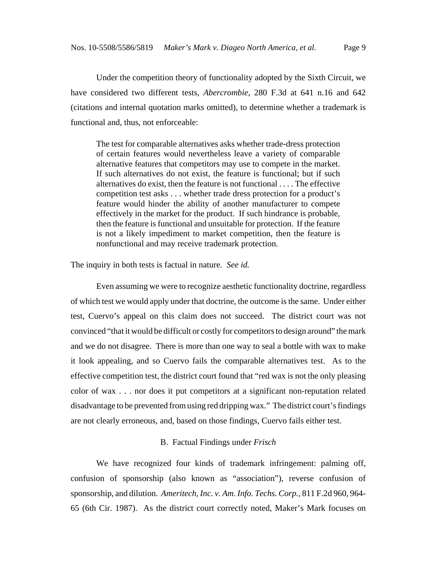Under the competition theory of functionality adopted by the Sixth Circuit, we have considered two different tests, *Abercrombie*, 280 F.3d at 641 n.16 and 642 (citations and internal quotation marks omitted), to determine whether a trademark is functional and, thus, not enforceable:

The test for comparable alternatives asks whether trade-dress protection of certain features would nevertheless leave a variety of comparable alternative features that competitors may use to compete in the market. If such alternatives do not exist, the feature is functional; but if such alternatives do exist, then the feature is not functional . . . . The effective competition test asks . . . whether trade dress protection for a product's feature would hinder the ability of another manufacturer to compete effectively in the market for the product. If such hindrance is probable, then the feature is functional and unsuitable for protection. If the feature is not a likely impediment to market competition, then the feature is nonfunctional and may receive trademark protection.

The inquiry in both tests is factual in nature. *See id.*

Even assuming we were to recognize aesthetic functionality doctrine, regardless of which test we would apply under that doctrine, the outcome is the same. Under either test, Cuervo's appeal on this claim does not succeed. The district court was not convinced "that it would be difficult or costly for competitors to design around" the mark and we do not disagree. There is more than one way to seal a bottle with wax to make it look appealing, and so Cuervo fails the comparable alternatives test. As to the effective competition test, the district court found that "red wax is not the only pleasing color of wax . . . nor does it put competitors at a significant non-reputation related disadvantage to be prevented from using red dripping wax." The district court's findings are not clearly erroneous, and, based on those findings, Cuervo fails either test.

#### B. Factual Findings under *Frisch*

We have recognized four kinds of trademark infringement: palming off, confusion of sponsorship (also known as "association"), reverse confusion of sponsorship, and dilution. *Ameritech, Inc. v. Am. Info. Techs. Corp.*, 811 F.2d 960, 964- 65 (6th Cir. 1987). As the district court correctly noted, Maker's Mark focuses on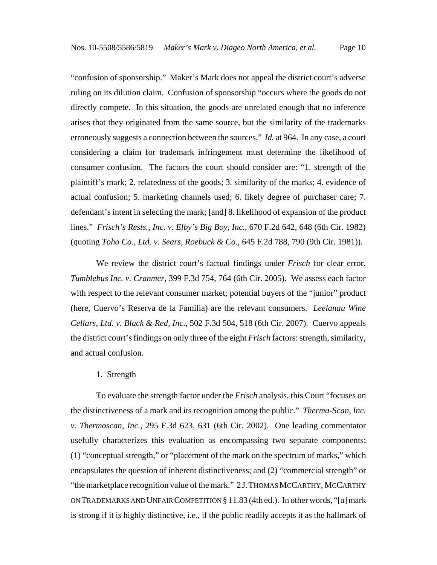"confusion of sponsorship." Maker's Mark does not appeal the district court's adverse ruling on its dilution claim. Confusion of sponsorship "occurs where the goods do not directly compete. In this situation, the goods are unrelated enough that no inference arises that they originated from the same source, but the similarity of the trademarks erroneously suggests a connection between the sources." *Id.* at 964. In any case, a court considering a claim for trademark infringement must determine the likelihood of consumer confusion. The factors the court should consider are: "1. strength of the plaintiff's mark; 2. relatedness of the goods; 3. similarity of the marks; 4. evidence of actual confusion; 5. marketing channels used; 6. likely degree of purchaser care; 7. defendant's intent in selecting the mark; [and] 8. likelihood of expansion of the product lines." *Frisch's Rests., Inc. v. Elby's Big Boy, Inc.*, 670 F.2d 642, 648 (6th Cir. 1982) (quoting *Toho Co., Ltd. v. Sears, Roebuck & Co.*, 645 F.2d 788, 790 (9th Cir. 1981)).

We review the district court's factual findings under *Frisch* for clear error. *Tumblebus Inc. v. Cranmer*, 399 F.3d 754, 764 (6th Cir. 2005). We assess each factor with respect to the relevant consumer market; potential buyers of the "junior" product (here, Cuervo's Reserva de la Familia) are the relevant consumers. *Leelanau Wine Cellars, Ltd. v. Black & Red, Inc.*, 502 F.3d 504, 518 (6th Cir. 2007). Cuervo appeals the district court's findings on only three of the eight *Frisch* factors: strength, similarity, and actual confusion.

#### 1. Strength

To evaluate the strength factor under the *Frisch* analysis, this Court "focuses on the distinctiveness of a mark and its recognition among the public." *Therma-Scan, Inc. v. Thermoscan, Inc.*, 295 F.3d 623, 631 (6th Cir. 2002). One leading commentator usefully characterizes this evaluation as encompassing two separate components: (1) "conceptual strength," or "placement of the mark on the spectrum of marks," which encapsulates the question of inherent distinctiveness; and (2) "commercial strength" or "the marketplace recognition value of the mark." 2J.THOMAS MCCARTHY, MCCARTHY ON TRADEMARKS AND UNFAIR COMPETITION § 11.83 (4th ed.). In other words, "[a] mark is strong if it is highly distinctive, i.e., if the public readily accepts it as the hallmark of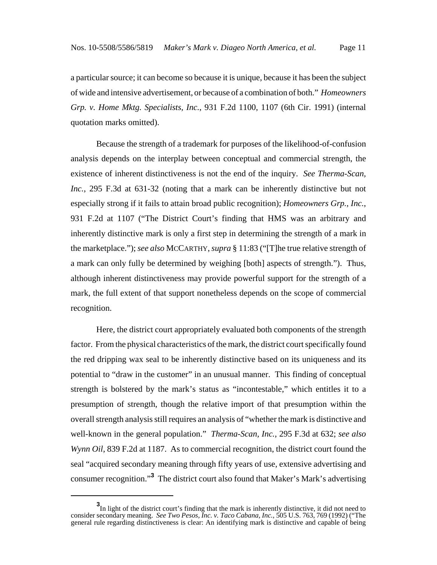a particular source; it can become so because it is unique, because it has been the subject of wide and intensive advertisement, or because of a combination of both." *Homeowners Grp. v. Home Mktg. Specialists, Inc.*, 931 F.2d 1100, 1107 (6th Cir. 1991) (internal quotation marks omitted).

Because the strength of a trademark for purposes of the likelihood-of-confusion analysis depends on the interplay between conceptual and commercial strength, the existence of inherent distinctiveness is not the end of the inquiry. *See Therma-Scan, Inc.*, 295 F.3d at 631-32 (noting that a mark can be inherently distinctive but not especially strong if it fails to attain broad public recognition); *Homeowners Grp., Inc.*, 931 F.2d at 1107 ("The District Court's finding that HMS was an arbitrary and inherently distinctive mark is only a first step in determining the strength of a mark in the marketplace."); *see also* MCCARTHY, *supra* § 11:83 ("[T]he true relative strength of a mark can only fully be determined by weighing [both] aspects of strength."). Thus, although inherent distinctiveness may provide powerful support for the strength of a mark, the full extent of that support nonetheless depends on the scope of commercial recognition.

Here, the district court appropriately evaluated both components of the strength factor. From the physical characteristics of the mark, the district court specifically found the red dripping wax seal to be inherently distinctive based on its uniqueness and its potential to "draw in the customer" in an unusual manner. This finding of conceptual strength is bolstered by the mark's status as "incontestable," which entitles it to a presumption of strength, though the relative import of that presumption within the overall strength analysis still requires an analysis of "whether the mark is distinctive and well-known in the general population." *Therma-Scan, Inc.*, 295 F.3d at 632; *see also Wynn Oil*, 839 F.2d at 1187. As to commercial recognition, the district court found the seal "acquired secondary meaning through fifty years of use, extensive advertising and consumer recognition."**<sup>3</sup>** The district court also found that Maker's Mark's advertising

**<sup>3</sup>**In light of the district court's finding that the mark is inherently distinctive, it did not need to consider secondary meaning. *See Two Pesos, Inc. v. Taco Cabana, Inc.*, 505 U.S. 763, 769 (1992) ("The general rule regarding distinctiveness is clear: An identifying mark is distinctive and capable of being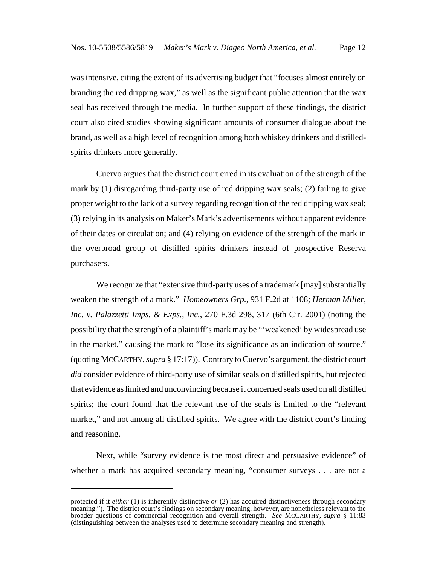was intensive, citing the extent of its advertising budget that "focuses almost entirely on branding the red dripping wax," as well as the significant public attention that the wax seal has received through the media. In further support of these findings, the district court also cited studies showing significant amounts of consumer dialogue about the brand, as well as a high level of recognition among both whiskey drinkers and distilledspirits drinkers more generally.

Cuervo argues that the district court erred in its evaluation of the strength of the mark by (1) disregarding third-party use of red dripping wax seals; (2) failing to give proper weight to the lack of a survey regarding recognition of the red dripping wax seal; (3) relying in its analysis on Maker's Mark's advertisements without apparent evidence of their dates or circulation; and (4) relying on evidence of the strength of the mark in the overbroad group of distilled spirits drinkers instead of prospective Reserva purchasers.

We recognize that "extensive third-party uses of a trademark [may] substantially weaken the strength of a mark." *Homeowners Grp.*, 931 F.2d at 1108; *Herman Miller, Inc. v. Palazzetti Imps. & Exps., Inc.*, 270 F.3d 298, 317 (6th Cir. 2001) (noting the possibility that the strength of a plaintiff's mark may be "'weakened' by widespread use in the market," causing the mark to "lose its significance as an indication of source." (quoting MCCARTHY, *supra* § 17:17)). Contrary to Cuervo's argument, the district court *did* consider evidence of third-party use of similar seals on distilled spirits, but rejected that evidence as limited and unconvincing because it concerned seals used on all distilled spirits; the court found that the relevant use of the seals is limited to the "relevant market," and not among all distilled spirits. We agree with the district court's finding and reasoning.

Next, while "survey evidence is the most direct and persuasive evidence" of whether a mark has acquired secondary meaning, "consumer surveys . . . are not a

protected if it *either* (1) is inherently distinctive *or* (2) has acquired distinctiveness through secondary meaning."). The district court's findings on secondary meaning, however, are nonetheless relevant to the broader questions of commercial recognition and overall strength. *See* MCCARTHY, *supra* § 11:83 (distinguishing between the analyses used to determine secondary meaning and strength).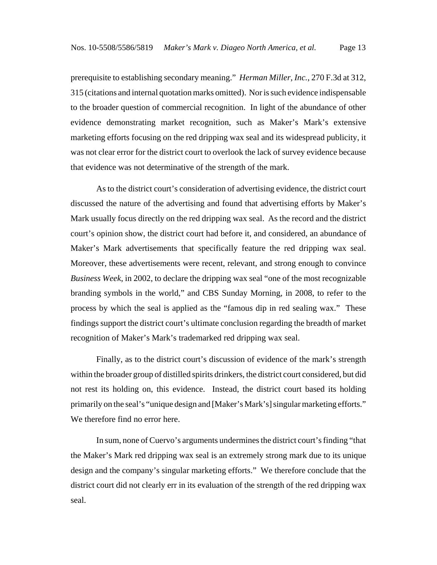prerequisite to establishing secondary meaning." *Herman Miller, Inc.*, 270 F.3d at 312, 315 (citations and internal quotation marks omitted). Nor is such evidence indispensable to the broader question of commercial recognition. In light of the abundance of other evidence demonstrating market recognition, such as Maker's Mark's extensive marketing efforts focusing on the red dripping wax seal and its widespread publicity, it was not clear error for the district court to overlook the lack of survey evidence because that evidence was not determinative of the strength of the mark.

As to the district court's consideration of advertising evidence, the district court discussed the nature of the advertising and found that advertising efforts by Maker's Mark usually focus directly on the red dripping wax seal. As the record and the district court's opinion show, the district court had before it, and considered, an abundance of Maker's Mark advertisements that specifically feature the red dripping wax seal. Moreover, these advertisements were recent, relevant, and strong enough to convince *Business Week*, in 2002, to declare the dripping wax seal "one of the most recognizable branding symbols in the world," and CBS Sunday Morning, in 2008, to refer to the process by which the seal is applied as the "famous dip in red sealing wax." These findings support the district court's ultimate conclusion regarding the breadth of market recognition of Maker's Mark's trademarked red dripping wax seal.

Finally, as to the district court's discussion of evidence of the mark's strength within the broader group of distilled spirits drinkers, the district court considered, but did not rest its holding on, this evidence. Instead, the district court based its holding primarily on the seal's "unique design and [Maker's Mark's] singular marketing efforts." We therefore find no error here.

In sum, none of Cuervo's arguments undermines the district court's finding "that the Maker's Mark red dripping wax seal is an extremely strong mark due to its unique design and the company's singular marketing efforts." We therefore conclude that the district court did not clearly err in its evaluation of the strength of the red dripping wax seal.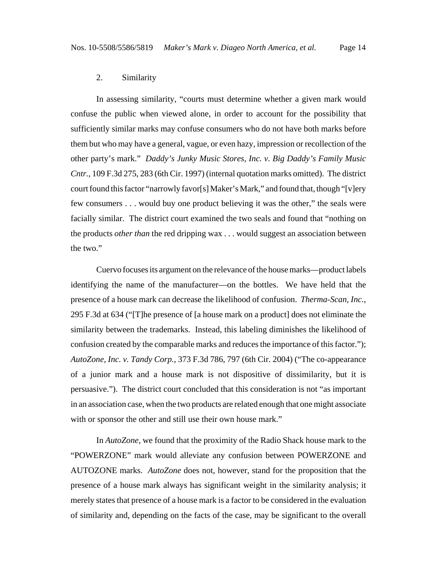#### 2. Similarity

In assessing similarity, "courts must determine whether a given mark would confuse the public when viewed alone, in order to account for the possibility that sufficiently similar marks may confuse consumers who do not have both marks before them but who may have a general, vague, or even hazy, impression or recollection of the other party's mark." *Daddy's Junky Music Stores, Inc. v. Big Daddy's Family Music Cntr.*, 109 F.3d 275, 283 (6th Cir. 1997) (internal quotation marks omitted). The district court found this factor "narrowly favor[s] Maker's Mark," and found that, though "[v]ery few consumers . . . would buy one product believing it was the other," the seals were facially similar. The district court examined the two seals and found that "nothing on the products *other than* the red dripping wax . . . would suggest an association between the two."

Cuervo focuses its argument on the relevance of the house marks—product labels identifying the name of the manufacturer—on the bottles. We have held that the presence of a house mark can decrease the likelihood of confusion. *Therma-Scan, Inc.*, 295 F.3d at 634 ("[T]he presence of [a house mark on a product] does not eliminate the similarity between the trademarks. Instead, this labeling diminishes the likelihood of confusion created by the comparable marks and reduces the importance of this factor."); *AutoZone, Inc. v. Tandy Corp.*, 373 F.3d 786, 797 (6th Cir. 2004) ("The co-appearance of a junior mark and a house mark is not dispositive of dissimilarity, but it is persuasive."). The district court concluded that this consideration is not "as important in an association case, when the two products are related enough that one might associate with or sponsor the other and still use their own house mark."

In *AutoZone*, we found that the proximity of the Radio Shack house mark to the "POWERZONE" mark would alleviate any confusion between POWERZONE and AUTOZONE marks. *AutoZone* does not, however, stand for the proposition that the presence of a house mark always has significant weight in the similarity analysis; it merely states that presence of a house mark is a factor to be considered in the evaluation of similarity and, depending on the facts of the case, may be significant to the overall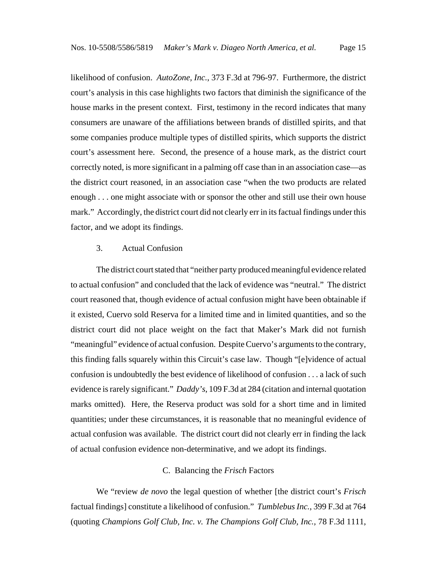likelihood of confusion. *AutoZone, Inc.*, 373 F.3d at 796-97. Furthermore, the district court's analysis in this case highlights two factors that diminish the significance of the house marks in the present context. First, testimony in the record indicates that many consumers are unaware of the affiliations between brands of distilled spirits, and that some companies produce multiple types of distilled spirits, which supports the district court's assessment here. Second, the presence of a house mark, as the district court correctly noted, is more significant in a palming off case than in an association case—as the district court reasoned, in an association case "when the two products are related enough . . . one might associate with or sponsor the other and still use their own house mark." Accordingly, the district court did not clearly err in its factual findings under this factor, and we adopt its findings.

# 3. Actual Confusion

The district court stated that "neither party produced meaningful evidence related to actual confusion" and concluded that the lack of evidence was "neutral." The district court reasoned that, though evidence of actual confusion might have been obtainable if it existed, Cuervo sold Reserva for a limited time and in limited quantities, and so the district court did not place weight on the fact that Maker's Mark did not furnish "meaningful" evidence of actual confusion. Despite Cuervo's arguments to the contrary, this finding falls squarely within this Circuit's case law. Though "[e]vidence of actual confusion is undoubtedly the best evidence of likelihood of confusion . . . a lack of such evidence is rarely significant." *Daddy's*, 109 F.3d at 284 (citation and internal quotation marks omitted).Here, the Reserva product was sold for a short time and in limited quantities; under these circumstances, it is reasonable that no meaningful evidence of actual confusion was available. The district court did not clearly err in finding the lack of actual confusion evidence non-determinative, and we adopt its findings.

### C. Balancing the *Frisch* Factors

We "review *de novo* the legal question of whether [the district court's *Frisch* factual findings] constitute a likelihood of confusion." *Tumblebus Inc.*, 399 F.3d at 764 (quoting *Champions Golf Club, Inc. v. The Champions Golf Club, Inc.,* 78 F.3d 1111,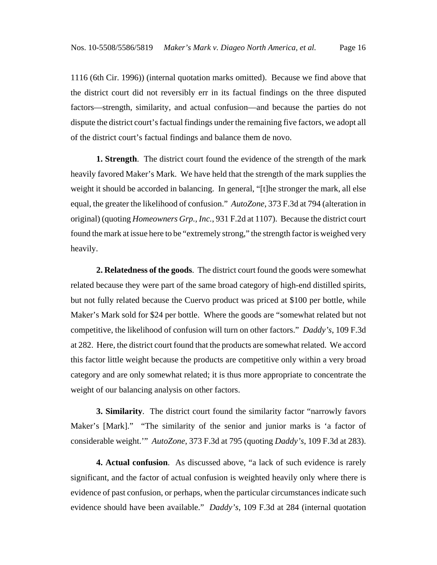1116 (6th Cir. 1996)) (internal quotation marks omitted). Because we find above that the district court did not reversibly err in its factual findings on the three disputed factors—strength, similarity, and actual confusion—and because the parties do not dispute the district court's factual findings under the remaining five factors, we adopt all of the district court's factual findings and balance them de novo.

**1. Strength**. The district court found the evidence of the strength of the mark heavily favored Maker's Mark. We have held that the strength of the mark supplies the weight it should be accorded in balancing. In general, "[t]he stronger the mark, all else equal, the greater the likelihood of confusion." *AutoZone*, 373 F.3d at 794 (alteration in original) (quoting *Homeowners Grp., Inc.*, 931 F.2d at 1107). Because the district court found the mark at issue here to be "extremely strong," the strength factor is weighed very heavily.

**2. Relatedness of the goods**. The district court found the goods were somewhat related because they were part of the same broad category of high-end distilled spirits, but not fully related because the Cuervo product was priced at \$100 per bottle, while Maker's Mark sold for \$24 per bottle. Where the goods are "somewhat related but not competitive, the likelihood of confusion will turn on other factors." *Daddy's*, 109 F.3d at 282. Here, the district court found that the products are somewhat related. We accord this factor little weight because the products are competitive only within a very broad category and are only somewhat related; it is thus more appropriate to concentrate the weight of our balancing analysis on other factors.

**3. Similarity**. The district court found the similarity factor "narrowly favors Maker's [Mark]." "The similarity of the senior and junior marks is 'a factor of considerable weight.'" *AutoZone*, 373 F.3d at 795 (quoting *Daddy's*, 109 F.3d at 283).

**4. Actual confusion**. As discussed above, "a lack of such evidence is rarely significant, and the factor of actual confusion is weighted heavily only where there is evidence of past confusion, or perhaps, when the particular circumstances indicate such evidence should have been available." *Daddy's*, 109 F.3d at 284 (internal quotation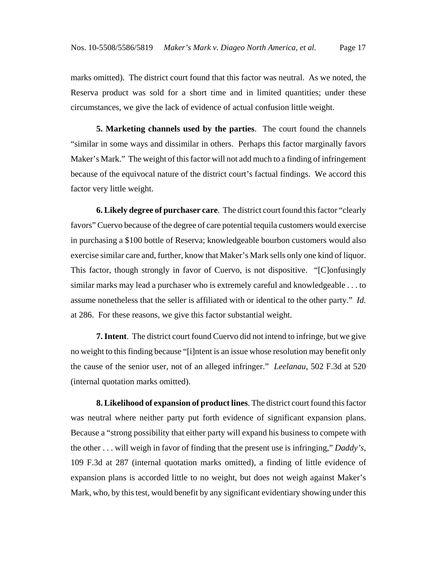marks omitted). The district court found that this factor was neutral. As we noted, the Reserva product was sold for a short time and in limited quantities; under these circumstances, we give the lack of evidence of actual confusion little weight.

**5. Marketing channels used by the parties**. The court found the channels "similar in some ways and dissimilar in others. Perhaps this factor marginally favors Maker's Mark." The weight of this factor will not add much to a finding of infringement because of the equivocal nature of the district court's factual findings. We accord this factor very little weight.

**6. Likely degree of purchaser care**. The district court found this factor "clearly favors" Cuervo because of the degree of care potential tequila customers would exercise in purchasing a \$100 bottle of Reserva; knowledgeable bourbon customers would also exercise similar care and, further, know that Maker's Mark sells only one kind of liquor. This factor, though strongly in favor of Cuervo, is not dispositive. "[C]onfusingly similar marks may lead a purchaser who is extremely careful and knowledgeable . . . to assume nonetheless that the seller is affiliated with or identical to the other party." *Id.* at 286. For these reasons, we give this factor substantial weight.

**7. Intent**. The district court found Cuervo did not intend to infringe, but we give no weight to this finding because "[i]ntent is an issue whose resolution may benefit only the cause of the senior user, not of an alleged infringer." *Leelanau*, 502 F.3d at 520 (internal quotation marks omitted).

**8. Likelihood of expansion of product lines**. The district court found this factor was neutral where neither party put forth evidence of significant expansion plans. Because a "strong possibility that either party will expand his business to compete with the other . . . will weigh in favor of finding that the present use is infringing," *Daddy's*, 109 F.3d at 287 (internal quotation marks omitted), a finding of little evidence of expansion plans is accorded little to no weight, but does not weigh against Maker's Mark, who, by this test, would benefit by any significant evidentiary showing under this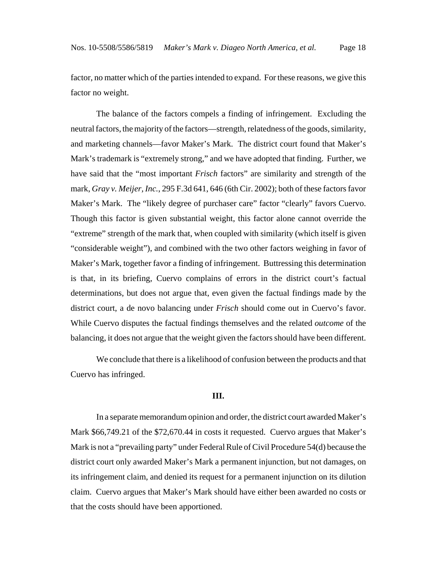factor, no matter which of the parties intended to expand. For these reasons, we give this factor no weight.

The balance of the factors compels a finding of infringement. Excluding the neutral factors, the majority of the factors—strength, relatedness of the goods, similarity, and marketing channels—favor Maker's Mark. The district court found that Maker's Mark's trademark is "extremely strong," and we have adopted that finding. Further, we have said that the "most important *Frisch* factors" are similarity and strength of the mark, *Gray v. Meijer, Inc.*, 295 F.3d 641, 646 (6th Cir. 2002); both of these factors favor Maker's Mark. The "likely degree of purchaser care" factor "clearly" favors Cuervo. Though this factor is given substantial weight, this factor alone cannot override the "extreme" strength of the mark that, when coupled with similarity (which itself is given "considerable weight"), and combined with the two other factors weighing in favor of Maker's Mark, together favor a finding of infringement. Buttressing this determination is that, in its briefing, Cuervo complains of errors in the district court's factual determinations, but does not argue that, even given the factual findings made by the district court, a de novo balancing under *Frisch* should come out in Cuervo's favor. While Cuervo disputes the factual findings themselves and the related *outcome* of the balancing, it does not argue that the weight given the factors should have been different.

We conclude that there is a likelihood of confusion between the products and that Cuervo has infringed.

#### **III.**

In a separate memorandum opinion and order, the district court awarded Maker's Mark \$66,749.21 of the \$72,670.44 in costs it requested. Cuervo argues that Maker's Mark is not a "prevailing party" under Federal Rule of Civil Procedure 54(d) because the district court only awarded Maker's Mark a permanent injunction, but not damages, on its infringement claim, and denied its request for a permanent injunction on its dilution claim. Cuervo argues that Maker's Mark should have either been awarded no costs or that the costs should have been apportioned.